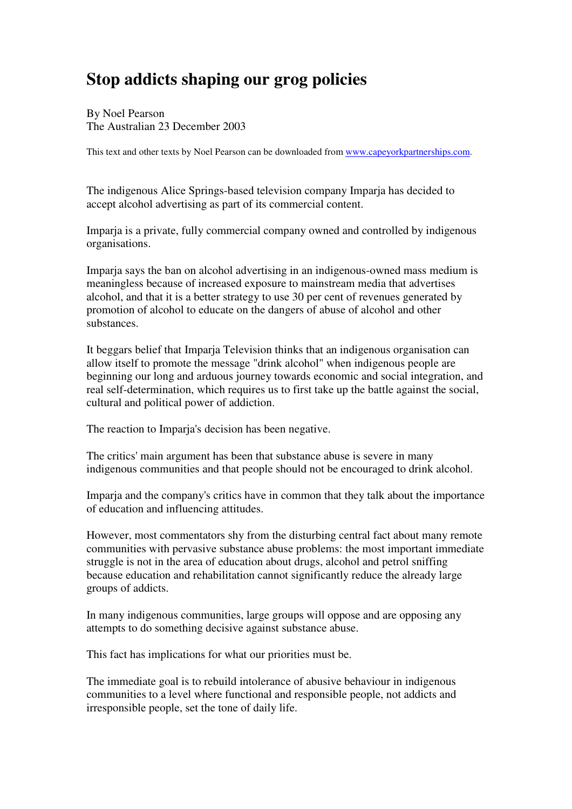## **Stop addicts shaping our grog policies**

By Noel Pearson The Australian 23 December 2003

This text and other texts by Noel Pearson can be downloaded from www.capeyorkpartnerships.com.

The indigenous Alice Springs-based television company Imparja has decided to accept alcohol advertising as part of its commercial content.

Imparja is a private, fully commercial company owned and controlled by indigenous organisations.

Imparja says the ban on alcohol advertising in an indigenous-owned mass medium is meaningless because of increased exposure to mainstream media that advertises alcohol, and that it is a better strategy to use 30 per cent of revenues generated by promotion of alcohol to educate on the dangers of abuse of alcohol and other substances.

It beggars belief that Imparja Television thinks that an indigenous organisation can allow itself to promote the message "drink alcohol" when indigenous people are beginning our long and arduous journey towards economic and social integration, and real self-determination, which requires us to first take up the battle against the social, cultural and political power of addiction.

The reaction to Imparja's decision has been negative.

The critics' main argument has been that substance abuse is severe in many indigenous communities and that people should not be encouraged to drink alcohol.

Imparja and the company's critics have in common that they talk about the importance of education and influencing attitudes.

However, most commentators shy from the disturbing central fact about many remote communities with pervasive substance abuse problems: the most important immediate struggle is not in the area of education about drugs, alcohol and petrol sniffing because education and rehabilitation cannot significantly reduce the already large groups of addicts.

In many indigenous communities, large groups will oppose and are opposing any attempts to do something decisive against substance abuse.

This fact has implications for what our priorities must be.

The immediate goal is to rebuild intolerance of abusive behaviour in indigenous communities to a level where functional and responsible people, not addicts and irresponsible people, set the tone of daily life.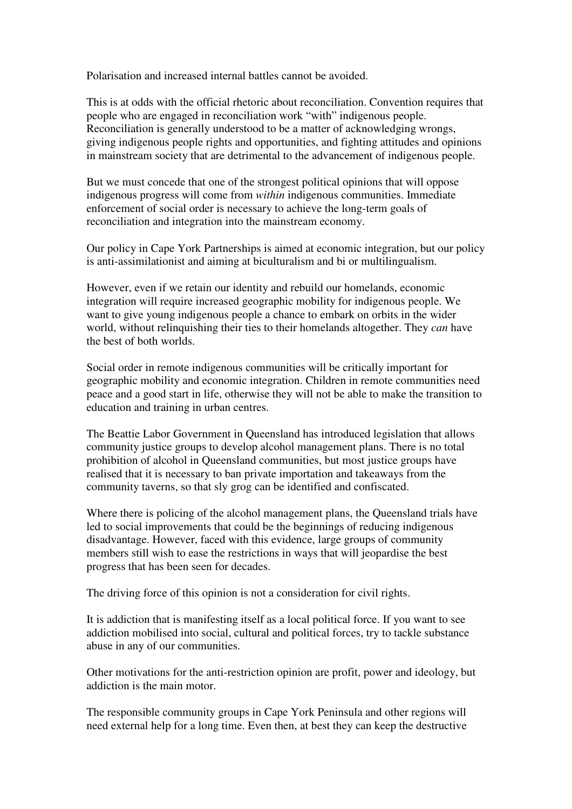Polarisation and increased internal battles cannot be avoided.

This is at odds with the official rhetoric about reconciliation. Convention requires that people who are engaged in reconciliation work "with" indigenous people. Reconciliation is generally understood to be a matter of acknowledging wrongs, giving indigenous people rights and opportunities, and fighting attitudes and opinions in mainstream society that are detrimental to the advancement of indigenous people.

But we must concede that one of the strongest political opinions that will oppose indigenous progress will come from *within* indigenous communities. Immediate enforcement of social order is necessary to achieve the long-term goals of reconciliation and integration into the mainstream economy.

Our policy in Cape York Partnerships is aimed at economic integration, but our policy is anti-assimilationist and aiming at biculturalism and bi or multilingualism.

However, even if we retain our identity and rebuild our homelands, economic integration will require increased geographic mobility for indigenous people. We want to give young indigenous people a chance to embark on orbits in the wider world, without relinquishing their ties to their homelands altogether. They *can* have the best of both worlds.

Social order in remote indigenous communities will be critically important for geographic mobility and economic integration. Children in remote communities need peace and a good start in life, otherwise they will not be able to make the transition to education and training in urban centres.

The Beattie Labor Government in Queensland has introduced legislation that allows community justice groups to develop alcohol management plans. There is no total prohibition of alcohol in Queensland communities, but most justice groups have realised that it is necessary to ban private importation and takeaways from the community taverns, so that sly grog can be identified and confiscated.

Where there is policing of the alcohol management plans, the Queensland trials have led to social improvements that could be the beginnings of reducing indigenous disadvantage. However, faced with this evidence, large groups of community members still wish to ease the restrictions in ways that will jeopardise the best progress that has been seen for decades.

The driving force of this opinion is not a consideration for civil rights.

It is addiction that is manifesting itself as a local political force. If you want to see addiction mobilised into social, cultural and political forces, try to tackle substance abuse in any of our communities.

Other motivations for the anti-restriction opinion are profit, power and ideology, but addiction is the main motor.

The responsible community groups in Cape York Peninsula and other regions will need external help for a long time. Even then, at best they can keep the destructive